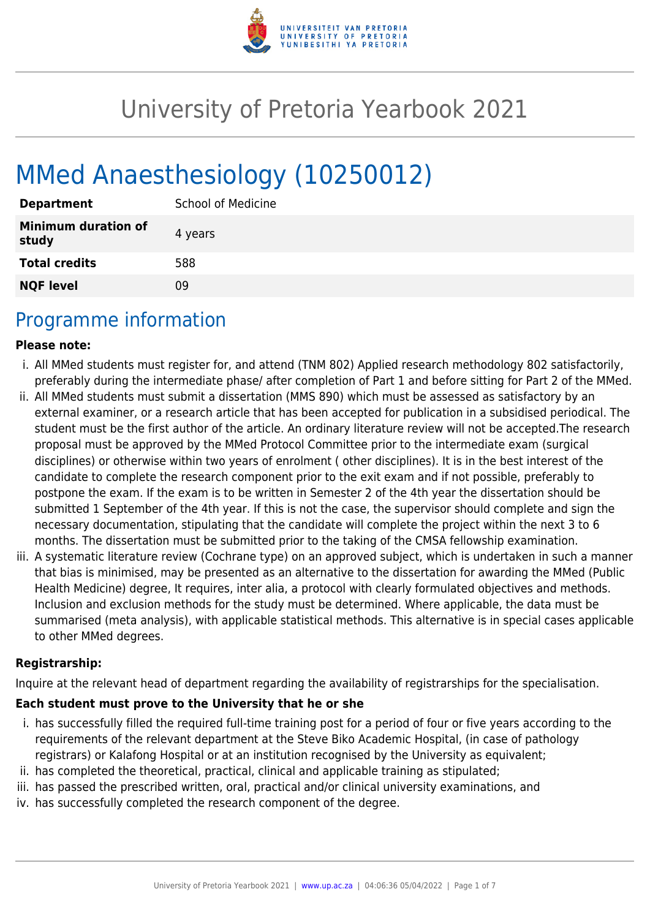

# University of Pretoria Yearbook 2021

# MMed Anaesthesiology (10250012)

| <b>Department</b>                   | <b>School of Medicine</b> |
|-------------------------------------|---------------------------|
| <b>Minimum duration of</b><br>study | 4 years                   |
| <b>Total credits</b>                | 588                       |
| <b>NQF level</b>                    | Ωd                        |

### Programme information

#### **Please note:**

- i. All MMed students must register for, and attend (TNM 802) Applied research methodology 802 satisfactorily, preferably during the intermediate phase/ after completion of Part 1 and before sitting for Part 2 of the MMed.
- ii. All MMed students must submit a dissertation (MMS 890) which must be assessed as satisfactory by an external examiner, or a research article that has been accepted for publication in a subsidised periodical. The student must be the first author of the article. An ordinary literature review will not be accepted.The research proposal must be approved by the MMed Protocol Committee prior to the intermediate exam (surgical disciplines) or otherwise within two years of enrolment ( other disciplines). It is in the best interest of the candidate to complete the research component prior to the exit exam and if not possible, preferably to postpone the exam. If the exam is to be written in Semester 2 of the 4th year the dissertation should be submitted 1 September of the 4th year. If this is not the case, the supervisor should complete and sign the necessary documentation, stipulating that the candidate will complete the project within the next 3 to 6 months. The dissertation must be submitted prior to the taking of the CMSA fellowship examination.
- iii. A systematic literature review (Cochrane type) on an approved subject, which is undertaken in such a manner that bias is minimised, may be presented as an alternative to the dissertation for awarding the MMed (Public Health Medicine) degree, It requires, inter alia, a protocol with clearly formulated objectives and methods. Inclusion and exclusion methods for the study must be determined. Where applicable, the data must be summarised (meta analysis), with applicable statistical methods. This alternative is in special cases applicable to other MMed degrees.

#### **Registrarship:**

Inquire at the relevant head of department regarding the availability of registrarships for the specialisation.

#### **Each student must prove to the University that he or she**

- i. has successfully filled the required full-time training post for a period of four or five years according to the requirements of the relevant department at the Steve Biko Academic Hospital, (in case of pathology registrars) or Kalafong Hospital or at an institution recognised by the University as equivalent;
- ii. has completed the theoretical, practical, clinical and applicable training as stipulated;
- iii. has passed the prescribed written, oral, practical and/or clinical university examinations, and
- iv. has successfully completed the research component of the degree.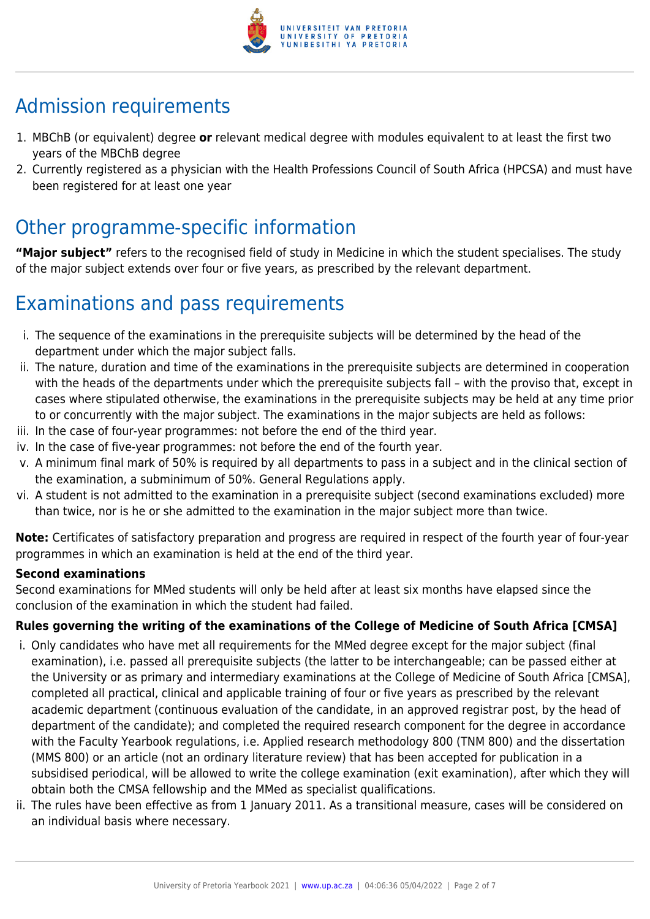

# Admission requirements

- 1. MBChB (or equivalent) degree **or** relevant medical degree with modules equivalent to at least the first two years of the MBChB degree
- 2. Currently registered as a physician with the Health Professions Council of South Africa (HPCSA) and must have been registered for at least one year

## Other programme-specific information

**"Major subject"** refers to the recognised field of study in Medicine in which the student specialises. The study of the major subject extends over four or five years, as prescribed by the relevant department.

# Examinations and pass requirements

- i. The sequence of the examinations in the prerequisite subjects will be determined by the head of the department under which the major subject falls.
- ii. The nature, duration and time of the examinations in the prerequisite subjects are determined in cooperation with the heads of the departments under which the prerequisite subjects fall – with the proviso that, except in cases where stipulated otherwise, the examinations in the prerequisite subjects may be held at any time prior to or concurrently with the major subject. The examinations in the major subjects are held as follows:
- iii. In the case of four-year programmes: not before the end of the third year.
- iv. In the case of five-year programmes: not before the end of the fourth year.
- v. A minimum final mark of 50% is required by all departments to pass in a subject and in the clinical section of the examination, a subminimum of 50%. General Regulations apply.
- vi. A student is not admitted to the examination in a prerequisite subject (second examinations excluded) more than twice, nor is he or she admitted to the examination in the major subject more than twice.

**Note:** Certificates of satisfactory preparation and progress are required in respect of the fourth year of four-year programmes in which an examination is held at the end of the third year.

#### **Second examinations**

Second examinations for MMed students will only be held after at least six months have elapsed since the conclusion of the examination in which the student had failed.

### **Rules governing the writing of the examinations of the College of Medicine of South Africa [CMSA]**

- i. Only candidates who have met all requirements for the MMed degree except for the major subject (final examination), i.e. passed all prerequisite subjects (the latter to be interchangeable; can be passed either at the University or as primary and intermediary examinations at the College of Medicine of South Africa [CMSA], completed all practical, clinical and applicable training of four or five years as prescribed by the relevant academic department (continuous evaluation of the candidate, in an approved registrar post, by the head of department of the candidate); and completed the required research component for the degree in accordance with the Faculty Yearbook regulations, i.e. Applied research methodology 800 (TNM 800) and the dissertation (MMS 800) or an article (not an ordinary literature review) that has been accepted for publication in a subsidised periodical, will be allowed to write the college examination (exit examination), after which they will obtain both the CMSA fellowship and the MMed as specialist qualifications.
- ii. The rules have been effective as from 1 January 2011. As a transitional measure, cases will be considered on an individual basis where necessary.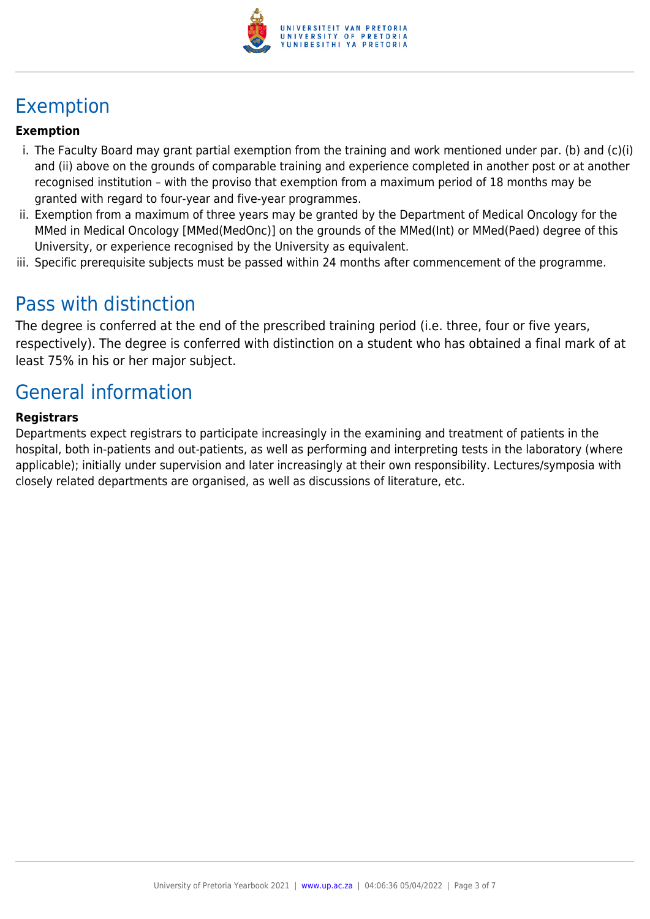

# Exemption

#### **Exemption**

- i. The Faculty Board may grant partial exemption from the training and work mentioned under par. (b) and (c)(i) and (ii) above on the grounds of comparable training and experience completed in another post or at another recognised institution – with the proviso that exemption from a maximum period of 18 months may be granted with regard to four-year and five-year programmes.
- ii. Exemption from a maximum of three years may be granted by the Department of Medical Oncology for the MMed in Medical Oncology [MMed(MedOnc)] on the grounds of the MMed(Int) or MMed(Paed) degree of this University, or experience recognised by the University as equivalent.
- iii. Specific prerequisite subjects must be passed within 24 months after commencement of the programme.

### Pass with distinction

The degree is conferred at the end of the prescribed training period (i.e. three, four or five years, respectively). The degree is conferred with distinction on a student who has obtained a final mark of at least 75% in his or her major subject.

### General information

#### **Registrars**

Departments expect registrars to participate increasingly in the examining and treatment of patients in the hospital, both in-patients and out-patients, as well as performing and interpreting tests in the laboratory (where applicable); initially under supervision and later increasingly at their own responsibility. Lectures/symposia with closely related departments are organised, as well as discussions of literature, etc.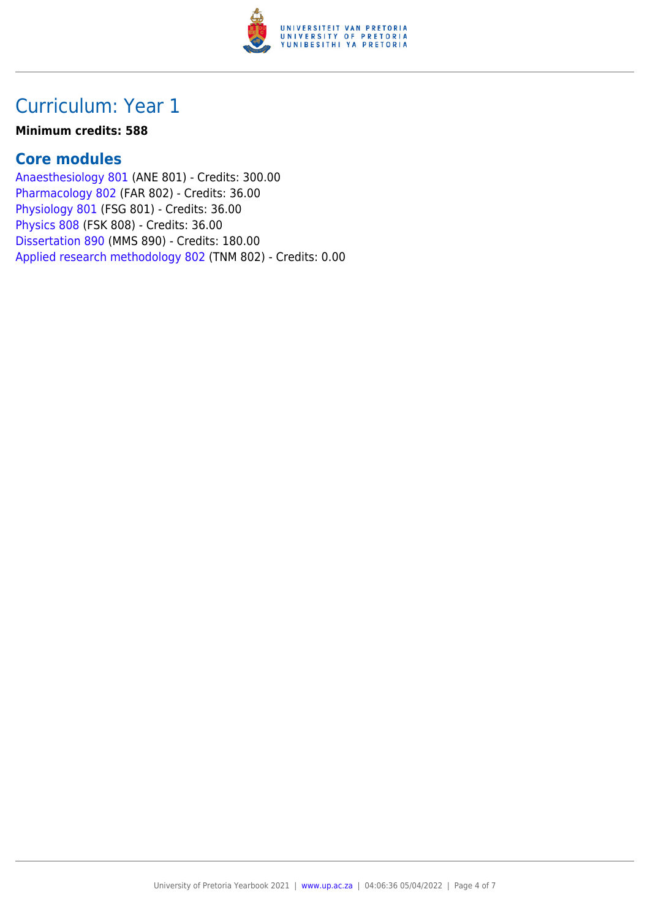

## Curriculum: Year 1

#### **Minimum credits: 588**

### **Core modules**

[Anaesthesiology 801](https://www.up.ac.za/faculty-of-education/yearbooks/2021/modules/view/ANE 801) (ANE 801) - Credits: 300.00 [Pharmacology 802](https://www.up.ac.za/faculty-of-education/yearbooks/2021/modules/view/FAR 802) (FAR 802) - Credits: 36.00 [Physiology 801](https://www.up.ac.za/faculty-of-education/yearbooks/2021/modules/view/FSG 801) (FSG 801) - Credits: 36.00 [Physics 808](https://www.up.ac.za/faculty-of-education/yearbooks/2021/modules/view/FSK 808) (FSK 808) - Credits: 36.00 [Dissertation 890](https://www.up.ac.za/faculty-of-education/yearbooks/2021/modules/view/MMS 890) (MMS 890) - Credits: 180.00 [Applied research methodology 802](https://www.up.ac.za/faculty-of-education/yearbooks/2021/modules/view/TNM 802) (TNM 802) - Credits: 0.00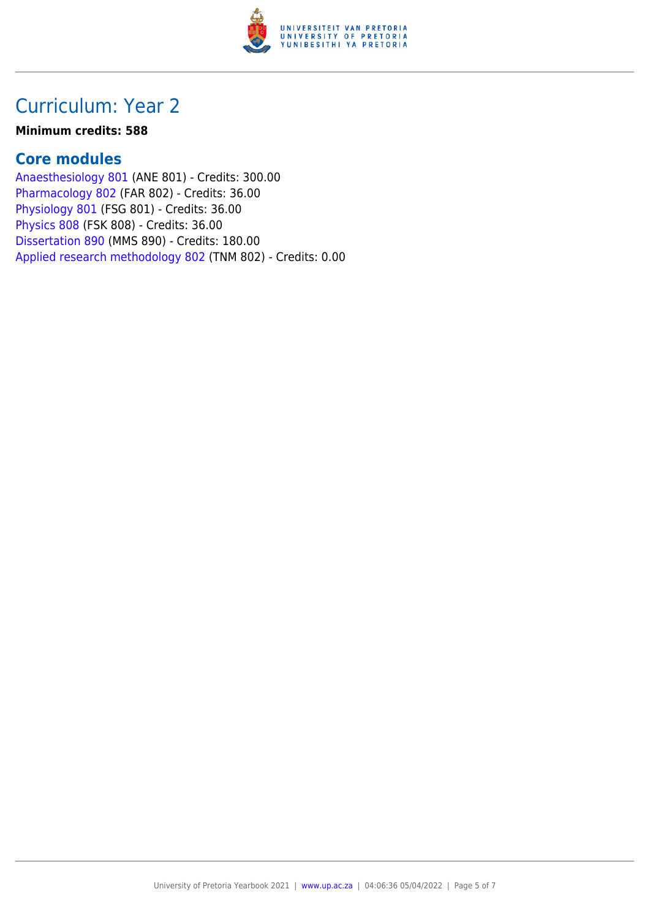

## Curriculum: Year 2

#### **Minimum credits: 588**

### **Core modules**

[Anaesthesiology 801](https://www.up.ac.za/faculty-of-education/yearbooks/2021/modules/view/ANE 801) (ANE 801) - Credits: 300.00 [Pharmacology 802](https://www.up.ac.za/faculty-of-education/yearbooks/2021/modules/view/FAR 802) (FAR 802) - Credits: 36.00 [Physiology 801](https://www.up.ac.za/faculty-of-education/yearbooks/2021/modules/view/FSG 801) (FSG 801) - Credits: 36.00 [Physics 808](https://www.up.ac.za/faculty-of-education/yearbooks/2021/modules/view/FSK 808) (FSK 808) - Credits: 36.00 [Dissertation 890](https://www.up.ac.za/faculty-of-education/yearbooks/2021/modules/view/MMS 890) (MMS 890) - Credits: 180.00 [Applied research methodology 802](https://www.up.ac.za/faculty-of-education/yearbooks/2021/modules/view/TNM 802) (TNM 802) - Credits: 0.00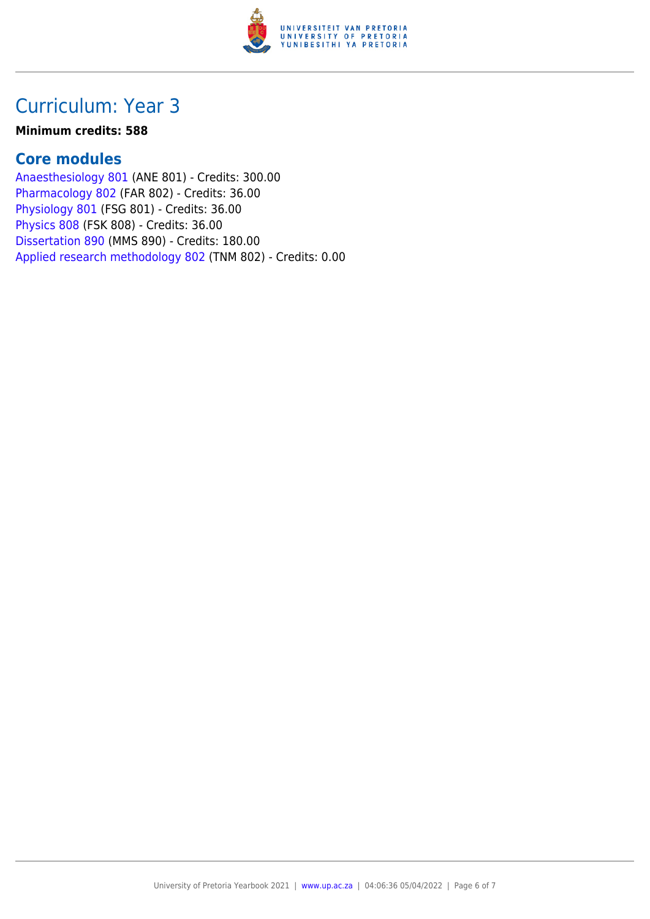

## Curriculum: Year 3

#### **Minimum credits: 588**

### **Core modules**

[Anaesthesiology 801](https://www.up.ac.za/faculty-of-education/yearbooks/2021/modules/view/ANE 801) (ANE 801) - Credits: 300.00 [Pharmacology 802](https://www.up.ac.za/faculty-of-education/yearbooks/2021/modules/view/FAR 802) (FAR 802) - Credits: 36.00 [Physiology 801](https://www.up.ac.za/faculty-of-education/yearbooks/2021/modules/view/FSG 801) (FSG 801) - Credits: 36.00 [Physics 808](https://www.up.ac.za/faculty-of-education/yearbooks/2021/modules/view/FSK 808) (FSK 808) - Credits: 36.00 [Dissertation 890](https://www.up.ac.za/faculty-of-education/yearbooks/2021/modules/view/MMS 890) (MMS 890) - Credits: 180.00 [Applied research methodology 802](https://www.up.ac.za/faculty-of-education/yearbooks/2021/modules/view/TNM 802) (TNM 802) - Credits: 0.00